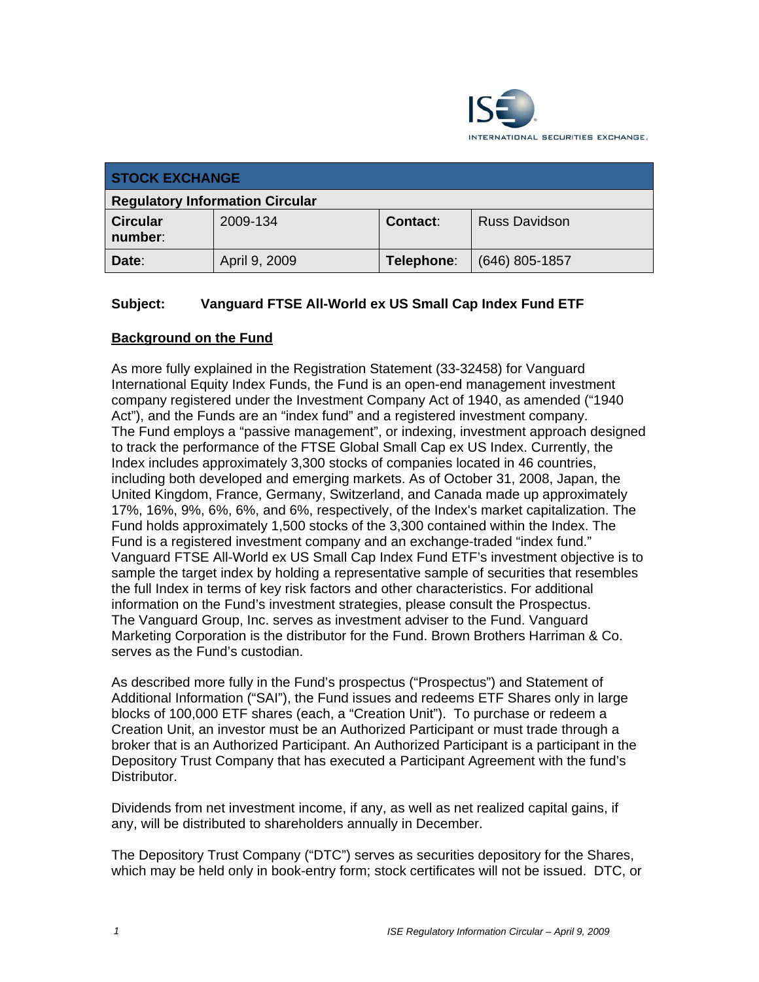

| <b>STOCK EXCHANGE</b>                  |               |                 |                      |
|----------------------------------------|---------------|-----------------|----------------------|
| <b>Regulatory Information Circular</b> |               |                 |                      |
| <b>Circular</b><br>number:             | 2009-134      | <b>Contact:</b> | <b>Russ Davidson</b> |
| Date:                                  | April 9, 2009 | Telephone:      | $(646)$ 805-1857     |

# **Subject: Vanguard FTSE All-World ex US Small Cap Index Fund ETF**

### **Background on the Fund**

As more fully explained in the Registration Statement (33-32458) for Vanguard International Equity Index Funds, the Fund is an open-end management investment company registered under the Investment Company Act of 1940, as amended ("1940 Act"), and the Funds are an "index fund" and a registered investment company. The Fund employs a "passive management", or indexing, investment approach designed to track the performance of the FTSE Global Small Cap ex US Index. Currently, the Index includes approximately 3,300 stocks of companies located in 46 countries, including both developed and emerging markets. As of October 31, 2008, Japan, the United Kingdom, France, Germany, Switzerland, and Canada made up approximately 17%, 16%, 9%, 6%, 6%, and 6%, respectively, of the Index's market capitalization. The Fund holds approximately 1,500 stocks of the 3,300 contained within the Index. The Fund is a registered investment company and an exchange-traded "index fund." Vanguard FTSE All-World ex US Small Cap Index Fund ETF's investment objective is to sample the target index by holding a representative sample of securities that resembles the full Index in terms of key risk factors and other characteristics. For additional information on the Fund's investment strategies, please consult the Prospectus. The Vanguard Group, Inc. serves as investment adviser to the Fund. Vanguard Marketing Corporation is the distributor for the Fund. Brown Brothers Harriman & Co. serves as the Fund's custodian.

As described more fully in the Fund's prospectus ("Prospectus") and Statement of Additional Information ("SAI"), the Fund issues and redeems ETF Shares only in large blocks of 100,000 ETF shares (each, a "Creation Unit"). To purchase or redeem a Creation Unit, an investor must be an Authorized Participant or must trade through a broker that is an Authorized Participant. An Authorized Participant is a participant in the Depository Trust Company that has executed a Participant Agreement with the fund's **Distributor** 

Dividends from net investment income, if any, as well as net realized capital gains, if any, will be distributed to shareholders annually in December.

The Depository Trust Company ("DTC") serves as securities depository for the Shares, which may be held only in book-entry form; stock certificates will not be issued. DTC, or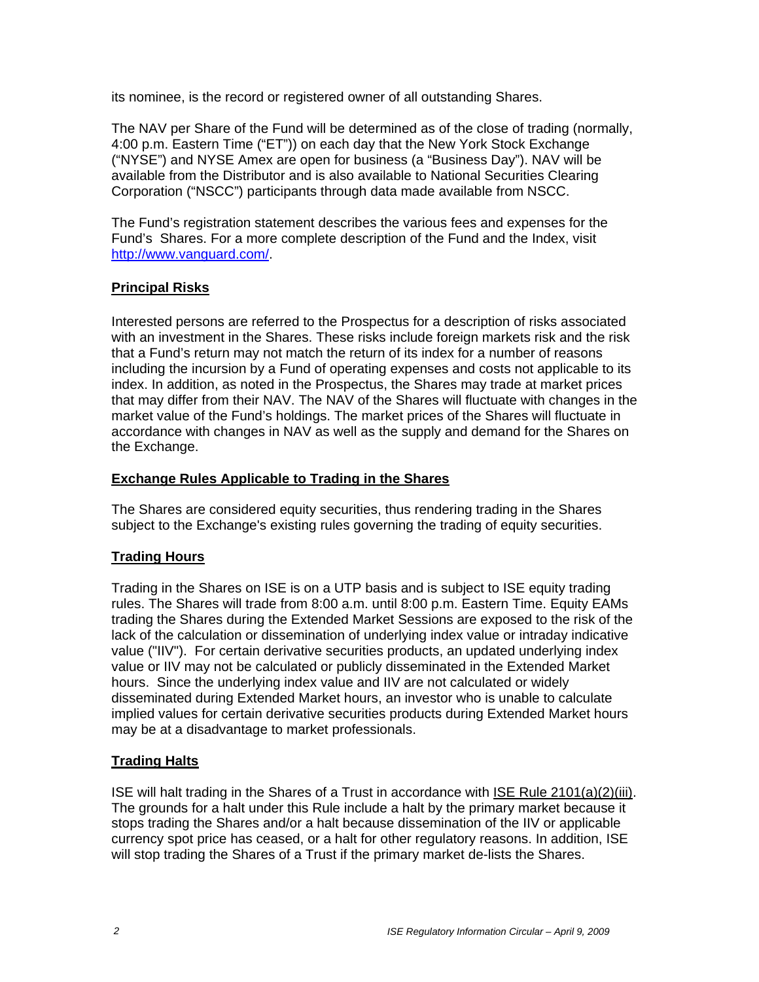its nominee, is the record or registered owner of all outstanding Shares.

The NAV per Share of the Fund will be determined as of the close of trading (normally, 4:00 p.m. Eastern Time ("ET")) on each day that the New York Stock Exchange ("NYSE") and NYSE Amex are open for business (a "Business Day"). NAV will be available from the Distributor and is also available to National Securities Clearing Corporation ("NSCC") participants through data made available from NSCC.

The Fund's registration statement describes the various fees and expenses for the Fund's Shares. For a more complete description of the Fund and the Index, visit http://www.vanguard.com/.

### **Principal Risks**

Interested persons are referred to the Prospectus for a description of risks associated with an investment in the Shares. These risks include foreign markets risk and the risk that a Fund's return may not match the return of its index for a number of reasons including the incursion by a Fund of operating expenses and costs not applicable to its index. In addition, as noted in the Prospectus, the Shares may trade at market prices that may differ from their NAV. The NAV of the Shares will fluctuate with changes in the market value of the Fund's holdings. The market prices of the Shares will fluctuate in accordance with changes in NAV as well as the supply and demand for the Shares on the Exchange.

### **Exchange Rules Applicable to Trading in the Shares**

The Shares are considered equity securities, thus rendering trading in the Shares subject to the Exchange's existing rules governing the trading of equity securities.

# **Trading Hours**

Trading in the Shares on ISE is on a UTP basis and is subject to ISE equity trading rules. The Shares will trade from 8:00 a.m. until 8:00 p.m. Eastern Time. Equity EAMs trading the Shares during the Extended Market Sessions are exposed to the risk of the lack of the calculation or dissemination of underlying index value or intraday indicative value ("IIV"). For certain derivative securities products, an updated underlying index value or IIV may not be calculated or publicly disseminated in the Extended Market hours. Since the underlying index value and IIV are not calculated or widely disseminated during Extended Market hours, an investor who is unable to calculate implied values for certain derivative securities products during Extended Market hours may be at a disadvantage to market professionals.

# **Trading Halts**

ISE will halt trading in the Shares of a Trust in accordance with ISE Rule 2101(a)(2)(iii). The grounds for a halt under this Rule include a halt by the primary market because it stops trading the Shares and/or a halt because dissemination of the IIV or applicable currency spot price has ceased, or a halt for other regulatory reasons. In addition, ISE will stop trading the Shares of a Trust if the primary market de-lists the Shares.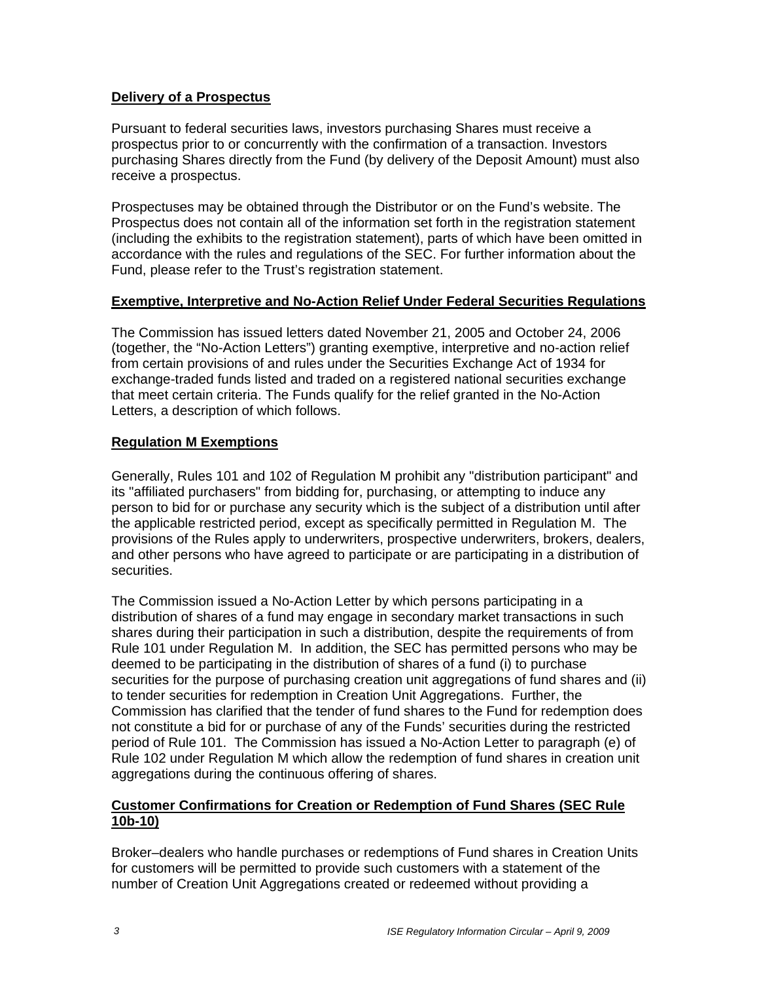### **Delivery of a Prospectus**

Pursuant to federal securities laws, investors purchasing Shares must receive a prospectus prior to or concurrently with the confirmation of a transaction. Investors purchasing Shares directly from the Fund (by delivery of the Deposit Amount) must also receive a prospectus.

Prospectuses may be obtained through the Distributor or on the Fund's website. The Prospectus does not contain all of the information set forth in the registration statement (including the exhibits to the registration statement), parts of which have been omitted in accordance with the rules and regulations of the SEC. For further information about the Fund, please refer to the Trust's registration statement.

#### **Exemptive, Interpretive and No-Action Relief Under Federal Securities Regulations**

The Commission has issued letters dated November 21, 2005 and October 24, 2006 (together, the "No-Action Letters") granting exemptive, interpretive and no-action relief from certain provisions of and rules under the Securities Exchange Act of 1934 for exchange-traded funds listed and traded on a registered national securities exchange that meet certain criteria. The Funds qualify for the relief granted in the No-Action Letters, a description of which follows.

### **Regulation M Exemptions**

Generally, Rules 101 and 102 of Regulation M prohibit any "distribution participant" and its "affiliated purchasers" from bidding for, purchasing, or attempting to induce any person to bid for or purchase any security which is the subject of a distribution until after the applicable restricted period, except as specifically permitted in Regulation M. The provisions of the Rules apply to underwriters, prospective underwriters, brokers, dealers, and other persons who have agreed to participate or are participating in a distribution of securities.

The Commission issued a No-Action Letter by which persons participating in a distribution of shares of a fund may engage in secondary market transactions in such shares during their participation in such a distribution, despite the requirements of from Rule 101 under Regulation M. In addition, the SEC has permitted persons who may be deemed to be participating in the distribution of shares of a fund (i) to purchase securities for the purpose of purchasing creation unit aggregations of fund shares and (ii) to tender securities for redemption in Creation Unit Aggregations. Further, the Commission has clarified that the tender of fund shares to the Fund for redemption does not constitute a bid for or purchase of any of the Funds' securities during the restricted period of Rule 101. The Commission has issued a No-Action Letter to paragraph (e) of Rule 102 under Regulation M which allow the redemption of fund shares in creation unit aggregations during the continuous offering of shares.

#### **Customer Confirmations for Creation or Redemption of Fund Shares (SEC Rule 10b-10)**

Broker–dealers who handle purchases or redemptions of Fund shares in Creation Units for customers will be permitted to provide such customers with a statement of the number of Creation Unit Aggregations created or redeemed without providing a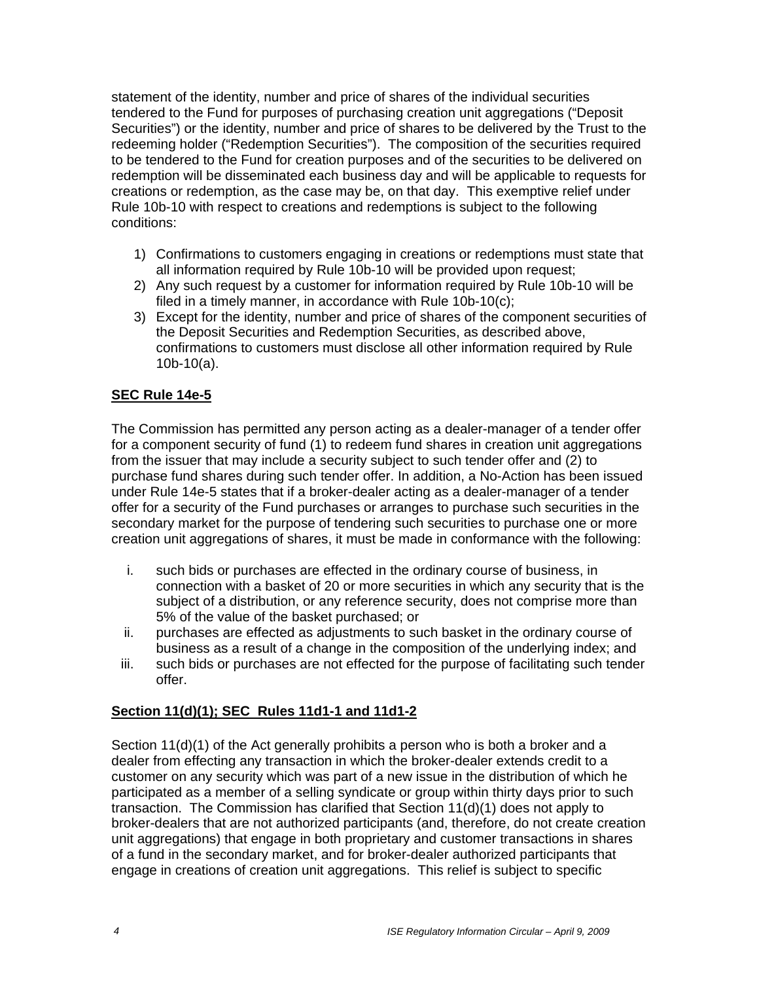statement of the identity, number and price of shares of the individual securities tendered to the Fund for purposes of purchasing creation unit aggregations ("Deposit Securities") or the identity, number and price of shares to be delivered by the Trust to the redeeming holder ("Redemption Securities"). The composition of the securities required to be tendered to the Fund for creation purposes and of the securities to be delivered on redemption will be disseminated each business day and will be applicable to requests for creations or redemption, as the case may be, on that day. This exemptive relief under Rule 10b-10 with respect to creations and redemptions is subject to the following conditions:

- 1) Confirmations to customers engaging in creations or redemptions must state that all information required by Rule 10b-10 will be provided upon request;
- 2) Any such request by a customer for information required by Rule 10b-10 will be filed in a timely manner, in accordance with Rule 10b-10(c);
- 3) Except for the identity, number and price of shares of the component securities of the Deposit Securities and Redemption Securities, as described above, confirmations to customers must disclose all other information required by Rule 10b-10(a).

# **SEC Rule 14e-5**

The Commission has permitted any person acting as a dealer-manager of a tender offer for a component security of fund (1) to redeem fund shares in creation unit aggregations from the issuer that may include a security subject to such tender offer and (2) to purchase fund shares during such tender offer. In addition, a No-Action has been issued under Rule 14e-5 states that if a broker-dealer acting as a dealer-manager of a tender offer for a security of the Fund purchases or arranges to purchase such securities in the secondary market for the purpose of tendering such securities to purchase one or more creation unit aggregations of shares, it must be made in conformance with the following:

- i. such bids or purchases are effected in the ordinary course of business, in connection with a basket of 20 or more securities in which any security that is the subject of a distribution, or any reference security, does not comprise more than 5% of the value of the basket purchased; or
- ii. purchases are effected as adjustments to such basket in the ordinary course of business as a result of a change in the composition of the underlying index; and
- iii. such bids or purchases are not effected for the purpose of facilitating such tender offer.

### **Section 11(d)(1); SEC Rules 11d1-1 and 11d1-2**

Section 11(d)(1) of the Act generally prohibits a person who is both a broker and a dealer from effecting any transaction in which the broker-dealer extends credit to a customer on any security which was part of a new issue in the distribution of which he participated as a member of a selling syndicate or group within thirty days prior to such transaction. The Commission has clarified that Section 11(d)(1) does not apply to broker-dealers that are not authorized participants (and, therefore, do not create creation unit aggregations) that engage in both proprietary and customer transactions in shares of a fund in the secondary market, and for broker-dealer authorized participants that engage in creations of creation unit aggregations. This relief is subject to specific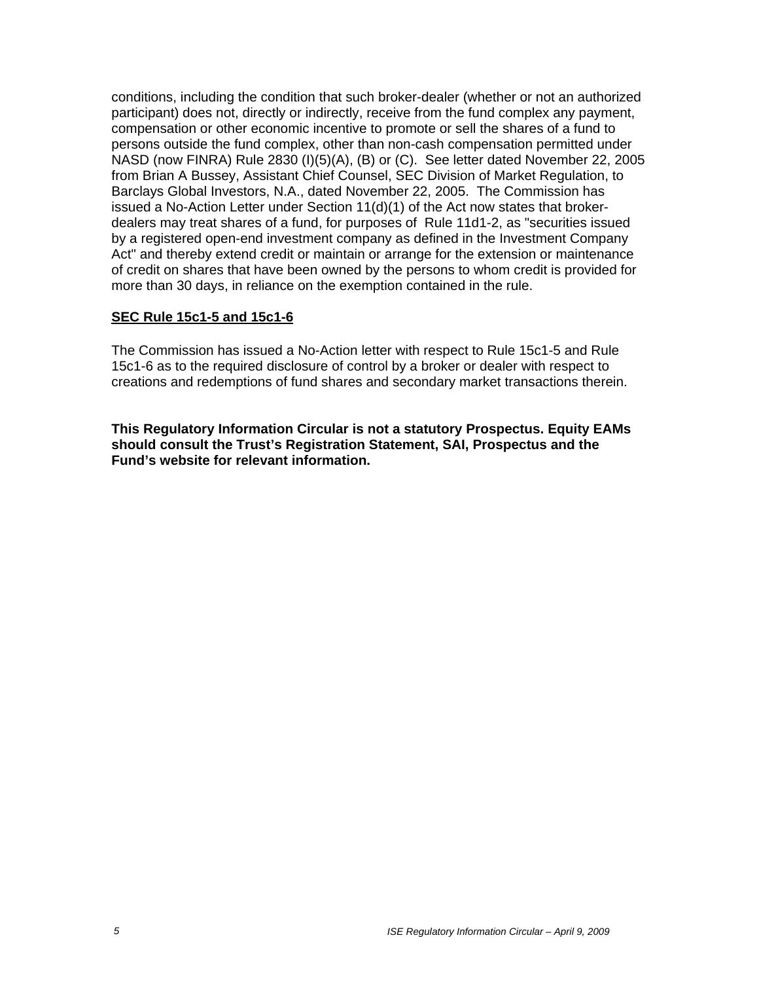conditions, including the condition that such broker-dealer (whether or not an authorized participant) does not, directly or indirectly, receive from the fund complex any payment, compensation or other economic incentive to promote or sell the shares of a fund to persons outside the fund complex, other than non-cash compensation permitted under NASD (now FINRA) Rule 2830 (I)(5)(A), (B) or (C). See letter dated November 22, 2005 from Brian A Bussey, Assistant Chief Counsel, SEC Division of Market Regulation, to Barclays Global Investors, N.A., dated November 22, 2005. The Commission has issued a No-Action Letter under Section  $11(d)(1)$  of the Act now states that brokerdealers may treat shares of a fund, for purposes of Rule 11d1-2, as "securities issued by a registered open-end investment company as defined in the Investment Company Act" and thereby extend credit or maintain or arrange for the extension or maintenance of credit on shares that have been owned by the persons to whom credit is provided for more than 30 days, in reliance on the exemption contained in the rule.

### **SEC Rule 15c1-5 and 15c1-6**

The Commission has issued a No-Action letter with respect to Rule 15c1-5 and Rule 15c1-6 as to the required disclosure of control by a broker or dealer with respect to creations and redemptions of fund shares and secondary market transactions therein.

**This Regulatory Information Circular is not a statutory Prospectus. Equity EAMs should consult the Trust's Registration Statement, SAI, Prospectus and the Fund's website for relevant information.**